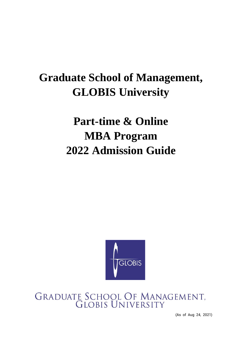# **Graduate School of Management, GLOBIS University**

# **Part-time & Online MBA Program 2022 Admission Guide**



# GRADUATE SCHOOL OF MANAGEMENT,<br>GLOBIS UNIVERSITY

(As of Aug 24, 2021)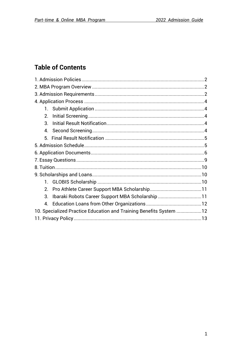# **Table of Contents**

| 2.                                                                 |  |  |
|--------------------------------------------------------------------|--|--|
| 3 <sub>l</sub>                                                     |  |  |
| 4 <sup>1</sup>                                                     |  |  |
|                                                                    |  |  |
|                                                                    |  |  |
|                                                                    |  |  |
|                                                                    |  |  |
|                                                                    |  |  |
|                                                                    |  |  |
|                                                                    |  |  |
| 2 <sub>1</sub>                                                     |  |  |
| Ibaraki Robots Career Support MBA Scholarship11<br>3 <sub>1</sub>  |  |  |
| 4.                                                                 |  |  |
| 10. Specialized Practice Education and Training Benefits System 12 |  |  |
|                                                                    |  |  |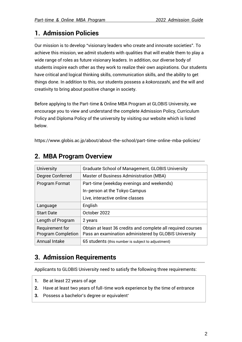# <span id="page-2-0"></span>**1. Admission Policies**

Our mission is to develop "visionary leaders who create and innovate societies". To achieve this mission, we admit students with qualities that will enable them to play a wide range of roles as future visionary leaders. In addition, our diverse body of students inspire each other as they work to realize their own aspirations. Our students have critical and logical thinking skills, communication skills, and the ability to get things done. In addition to this, our students possess a *kokorozashi*, and the will and creativity to bring about positive change in society.

Before applying to the Part-time & Online MBA Program at GLOBIS University, we encourage you to view and understand the complete Admission Policy, Curriculum Policy and Diploma Policy of the university by visiting our website which is listed below.

<span id="page-2-1"></span>https://www.globis.ac.jp/about/about-the-school/part-time-online-mba-policies/

| <b>University</b>                            | <b>Graduate School of Management, GLOBIS University</b>                                                               |
|----------------------------------------------|-----------------------------------------------------------------------------------------------------------------------|
| Degree Conferred                             | Master of Business Administration (MBA)                                                                               |
| Program Format                               | Part-time (weekday evenings and weekends)                                                                             |
|                                              | In-person at the Tokyo Campus                                                                                         |
|                                              | Live, interactive online classes                                                                                      |
| Language                                     | English                                                                                                               |
| <b>Start Date</b>                            | October 2022                                                                                                          |
| Length of Program                            | 2 years                                                                                                               |
| Requirement for<br><b>Program Completion</b> | Obtain at least 36 credits and complete all required courses<br>Pass an examination administered by GLOBIS University |
| <b>Annual Intake</b>                         | 65 students (this number is subject to adjustment)                                                                    |

## **2. MBA Program Overview**

# <span id="page-2-2"></span>**3. Admission Requirements**

Applicants to GLOBIS University need to satisfy the following three requirements:

- **1.** Be at least 22 years of age
- **2.** Have at least two years of full-time work experience by the time of entrance
- **3.** Possess a bachelor's degree or equivalent\*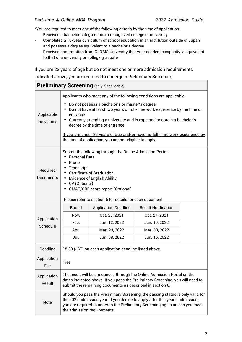\*You are required to meet one of the following criteria by the time of application:

- Received a bachelor's degree from a recognized college or university
- Completed a 16-year curriculum of school education in an institution outside of Japan and possess a degree equivalent to a bachelor's degree
- Received confirmation from GLOBIS University that your academic capacity is equivalent to that of a university or college graduate

If you are 22 years of age but do not meet one or more admission requirements indicated above, you are required to undergo a Preliminary Screening.

| <b>Preliminary Screening (only if applicable)</b> |                                                                                                                                                                                                                                                                                                                                                                                                                                                                           |                             |                            |  |
|---------------------------------------------------|---------------------------------------------------------------------------------------------------------------------------------------------------------------------------------------------------------------------------------------------------------------------------------------------------------------------------------------------------------------------------------------------------------------------------------------------------------------------------|-----------------------------|----------------------------|--|
| Applicable<br><b>Individuals</b>                  | Applicants who meet any of the following conditions are applicable:<br>Do not possess a bachelor's or master's degree<br>Do not have at least two years of full-time work experience by the time of<br>entrance<br>• Currently attending a university and is expected to obtain a bachelor's<br>degree by the time of entrance<br>If you are under 22 years of age and/or have no full-time work experience by<br>the time of application, you are not eligible to apply. |                             |                            |  |
| Required<br>Documents                             | Submit the following through the Online Admission Portal:<br>Personal Data<br>٠<br>Photo<br>Transcript<br>• Certificate of Graduation<br>• Evidence of English Ability<br>• CV (Optional)<br>• GMAT/GRE score report (Optional)<br>Please refer to section 6 for details for each document                                                                                                                                                                                |                             |                            |  |
|                                                   | Round                                                                                                                                                                                                                                                                                                                                                                                                                                                                     | <b>Application Deadline</b> | <b>Result Notification</b> |  |
|                                                   | Nov.                                                                                                                                                                                                                                                                                                                                                                                                                                                                      | Oct. 20, 2021               | Oct. 27, 2021              |  |
| Application                                       | Feb.                                                                                                                                                                                                                                                                                                                                                                                                                                                                      | Jan. 12, 2022               | Jan. 19, 2022              |  |
| Schedule                                          | Apr.                                                                                                                                                                                                                                                                                                                                                                                                                                                                      | Mar. 23, 2022               | Mar. 30, 2022              |  |
|                                                   | Jul.                                                                                                                                                                                                                                                                                                                                                                                                                                                                      | Jun. 08, 2022               | Jun. 15, 2022              |  |
| <b>Deadline</b>                                   | 18:30 (JST) on each application deadline listed above.                                                                                                                                                                                                                                                                                                                                                                                                                    |                             |                            |  |
| Application<br>Fee                                | Free                                                                                                                                                                                                                                                                                                                                                                                                                                                                      |                             |                            |  |
| Application<br>Result                             | The result will be announced through the Online Admission Portal on the<br>dates indicated above. If you pass the Preliminary Screening, you will need to<br>submit the remaining documents as described in section 6.                                                                                                                                                                                                                                                    |                             |                            |  |
| <b>Note</b>                                       | Should you pass the Preliminary Screening, the passing status is only valid for<br>the 2022 admission year. If you decide to apply after this year's admission,<br>you are required to undergo the Preliminary Screening again unless you meet<br>the admission requirements.                                                                                                                                                                                             |                             |                            |  |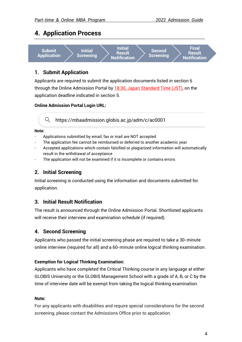## <span id="page-4-0"></span>**4. Application Process**



#### <span id="page-4-1"></span>**1. Submit Application**

Applicants are required to submit the application documents listed in section 6 through the Online Admission Portal by 18:30, Japan Standard Time (JST), on the application deadline indicated in section 5.

#### **Online Admission Portal Login URL:**

https://mbaadmission.globis.ac.jp/adm/c/ac0001

#### **Note:**

- Applications submitted by email, fax or mail are NOT accepted
- The application fee cannot be reimbursed or deferred to another academic year
- Accepted applications which contain falsified or plagiarized information will automatically result in the withdrawal of acceptance
- The application will not be examined if it is incomplete or contains errors

#### <span id="page-4-2"></span>**2. Initial Screening**

Initial screening is conducted using the information and documents submitted for application.

#### <span id="page-4-3"></span>**3. Initial Result Notification**

The result is announced through the Online Admission Portal. Shortlisted applicants will receive their interview and examination schedule (if required).

#### <span id="page-4-4"></span>**4. Second Screening**

Applicants who passed the initial screening phase are required to take a 30-minute online interview (required for all) and a 60-minute online logical thinking examination.

#### **Exemption for Logical Thinking Examination:**

Applicants who have completed the Critical Thinking course in any language at either GLOBIS University or the GLOBIS Management School with a grade of A, B, or C by the time of interview date will be exempt from taking the logical thinking examination.

#### **Note:**

For any applicants with disabilities and require special considerations for the second screening, please contact the Admissions Office prior to application.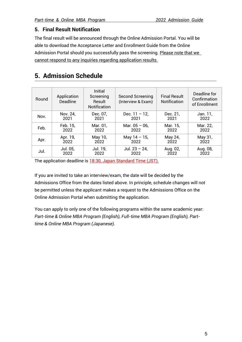#### <span id="page-5-0"></span>**5. Final Result Notification**

The final result will be announced through the Online Admission Portal. You will be able to download the Acceptance Letter and Enrollment Guide from the Online Admission Portal should you successfully pass the screening. Please note that we cannot respond to any inquiries regarding application results.

# <span id="page-5-1"></span>**5. Admission Schedule**

| Round | Application<br><b>Deadline</b> | Initial<br>Screening<br>Result<br><b>Notification</b> | Second Screening<br>(Interview & Exam) | <b>Final Result</b><br><b>Notification</b> | Deadline for<br>Confirmation<br>of Enrollment |
|-------|--------------------------------|-------------------------------------------------------|----------------------------------------|--------------------------------------------|-----------------------------------------------|
| Nov.  | Nov. 24,                       | Dec. 07.                                              | Dec. $11 - 12$ ,                       | Dec. 21,                                   | Jan. 11,                                      |
|       | 2021                           | 2021                                                  | 2021                                   | 2021                                       | 2022                                          |
| Feb.  | Feb. 15,                       | Mar. 01,                                              | Mar. $05 - 06$ ,                       | Mar. 15,                                   | Mar. 22,                                      |
|       | 2022                           | 2022                                                  | 2022                                   | 2022                                       | 2022                                          |
| Apr.  | Apr. 19,                       | May 10,                                               | May $14 - 15$ ,                        | May 24,                                    | May 31,                                       |
|       | 2022                           | 2022                                                  | 2022                                   | 2022                                       | 2022                                          |
| Jul.  | Jul. 05,                       | Jul. 19,                                              | Jul. $23 - 24$ ,                       | Aug. 02,                                   | Aug. 08,                                      |
|       | 2022                           | 2022                                                  | 2022                                   | 2022                                       | 2022                                          |

The application deadline is 18:30, Japan Standard Time (JST).

If you are invited to take an interview/exam, the date will be decided by the Admissions Office from the dates listed above. In principle, schedule changes will not be permitted unless the applicant makes a request to the Admissions Office on the Online Admission Portal when submitting the application.

You can apply to only one of the following programs within the same academic year: *Part-time & Online MBA Program (English), Full-time MBA Program (English), Parttime & Online MBA Program (Japanese).*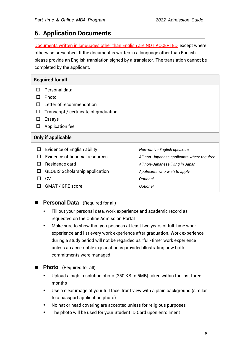## **6. Application Documents**

<span id="page-6-0"></span>Documents written in languages other than English are NOT ACCEPTED, except where otherwise prescribed. If the document is written in a language other than English, please provide an English translation signed by a translator. The translation cannot be completed by the applicant.

|              | <b>Required for all</b>                |                                            |
|--------------|----------------------------------------|--------------------------------------------|
| LΙ           | Personal data                          |                                            |
|              | Photo                                  |                                            |
|              | Letter of recommendation               |                                            |
|              | Transcript / certificate of graduation |                                            |
|              | Essays                                 |                                            |
| ப            | Application fee                        |                                            |
|              | <b>Only if applicable</b>              |                                            |
| $\mathbf{L}$ | <b>Evidence of English ability</b>     | Non-native English speakers                |
|              | <b>Evidence of financial resources</b> | All non-Japanese applicants where required |
|              | Residence card                         | All non-Japanese living in Japan           |
| H            | <b>GLOBIS Scholarship application</b>  | Applicants who wish to apply               |
|              | <b>CV</b>                              | Optional                                   |
|              | <b>GMAT / GRE score</b>                | Optional                                   |
|              |                                        |                                            |

#### ■ **Personal Data** (Required for all)

- Fill out your personal data, work experience and academic record as requested on the Online Admission Portal
- Make sure to show that you possess at least two years of full-time work experience and list every work experience after graduation. Work experience during a study period will not be regarded as "full-time" work experience unless an acceptable explanation is provided illustrating how both commitments were managed
- **Photo** (Required for all)
	- Upload a high-resolution photo (250 KB to 5MB) taken within the last three months
	- Use a clear image of your full face, front view with a plain background (similar to a passport application photo)
	- No hat or head covering are accepted unless for religious purposes
	- The photo will be used for your Student ID Card upon enrollment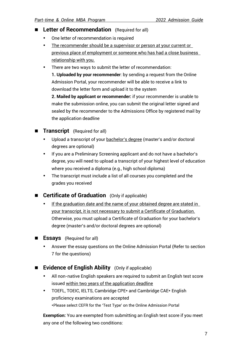- **Letter of Recommendation** (Required for all)
	- One letter of recommendation is required
	- The recommender should be a supervisor or person at your current or previous place of employment or someone who has had a close business relationship with you.
	- There are two ways to submit the letter of recommendation:

**1. Uploaded by your recommender**: by sending a request from the Online Admission Portal, your recommender will be able to receive a link to download the letter form and upload it to the system

**2. Mailed by applicant or recommender:** if your recommender is unable to make the submission online, you can submit the original letter signed and sealed by the recommender to the Admissions Office by registered mail by the application deadline

#### **Transcript** (Required for all)

- Upload a transcript of your bachelor's degree (master's and/or doctoral degrees are optional)
- If you are a Preliminary Screening applicant and do not have a bachelor's degree, you will need to upload a transcript of your highest level of education where you received a diploma (e.g., high school diploma)
- The transcript must include a list of all courses you completed and the grades you received

#### ■ **Certificate of Graduation** (Only if applicable)

- If the graduation date and the name of your obtained degree are stated in your transcript, it is not necessary to submit a Certificate of Graduation. Otherwise, you must upload a Certificate of Graduation for your bachelor's degree (master's and/or doctoral degrees are optional)
- **Essays** (Required for all)
	- Answer the essay questions on the Online Admission Portal (Refer to section 7 for the questions)
- **Evidence of English Ability** (Only if applicable)
	- All non-native English speakers are required to submit an English test score issued within two years of the application deadline
	- TOEFL, TOEIC, IELTS, Cambridge CPE\* and Cambridge CAE\* English proficiency examinations are accepted \*Please select CEFR for the 'Test Type' on the Online Admission Portal

**Exemption:** You are exempted from submitting an English test score if you meet any one of the following two conditions: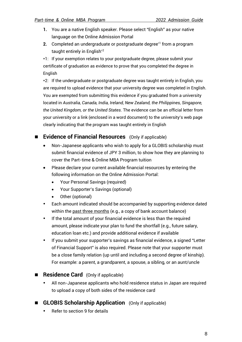- **1.** You are a native English speaker. Please select "English" as your native language on the Online Admission Portal
- **2.** Completed an undergraduate or postgraduate degree\*1 from a program taught entirely in English<sup>\*2</sup>

\*1: If your exemption relates to your postgraduate degree, please submit your certificate of graduation as evidence to prove that you completed the degree in English

\*2: If the undergraduate or postgraduate degree was taught entirely in English, you are required to upload evidence that your university degree was completed in English. You are exempted from submitting this evidence if you graduated from a university located in *Australia, Canada, India, Ireland, New Zealand, the Philippines, Singapore, the United Kingdom, or the United States*. The evidence can be an official letter from your university or a link (enclosed in a word document) to the university's web page clearly indicating that the program was taught entirely in English

#### ■ **Evidence of Financial Resources** (Only if applicable)

- Non-Japanese applicants who wish to apply for a GLOBIS scholarship must submit financial evidence of JPY 3 million, to show how they are planning to cover the Part-time & Online MBA Program tuition
- Please declare your current available financial resources by entering the following information on the Online Admission Portal:
	- Your Personal Savings (required)
	- Your Supporter's Savings (optional)
	- Other (optional)
- Each amount indicated should be accompanied by supporting evidence dated within the past three months (e.g., a copy of bank account balance)
- If the total amount of your financial evidence is less than the required amount, please indicate your plan to fund the shortfall (e.g., future salary, education loan etc.) and provide additional evidence if available
- If you submit your supporter's savings as financial evidence, a signed "Letter of Financial Support" is also required. Please note that your supporter must be a close family relation (up until and including a second degree of kinship). For example: a parent, a grandparent, a spouse, a sibling, or an aunt/uncle
- **Residence Card** (Only if applicable)
	- All non-Japanese applicants who hold residence status in Japan are required to upload a copy of both sides of the residence card
- **GLOBIS Scholarship Application** (Only if applicable)
	- Refer to section 9 for details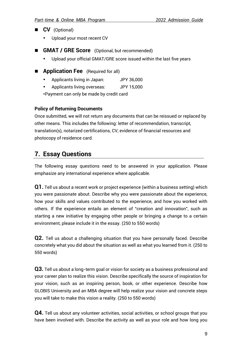- **CV** (Optional)
	- Upload your most recent CV
- **GMAT / GRE Score** (Optional, but recommended)
	- Upload your official GMAT/GRE score issued within the last five years
- **Application Fee** (Required for all)
	- Applicants living in Japan: JPY 36,000
	- Applicants living overseas: JPY 15,000

\*Payment can only be made by credit card

#### **Policy of Returning Documents**

Once submitted, we will not return any documents that can be reissued or replaced by other means. This includes the following: letter of recommendation, transcript, translation(s), notarized certifications, CV, evidence of financial resources and photocopy of residence card.

# <span id="page-9-0"></span>**7. Essay Questions**

The following essay questions need to be answered in your application. Please emphasize any international experience where applicable.

**Q1.** Tell us about a recent work or project experience (within a business setting) which you were passionate about. Describe why you were passionate about the experience, how your skills and values contributed to the experience, and how you worked with others. If the experience entails an element of "creation and innovation", such as starting a new initiative by engaging other people or bringing a change to a certain environment, please include it in the essay. (250 to 550 words)

**Q2.** Tell us about a challenging situation that you have personally faced. Describe concretely what you did about the situation as well as what you learned from it. (250 to 550 words)

**Q3.** Tell us about a long-term goal or vision for society as a business professional and your career plan to realize this vision. Describe specifically the source of inspiration for your vision, such as an inspiring person, book, or other experience. Describe how GLOBIS University and an MBA degree will help realize your vision and concrete steps you will take to make this vision a reality. (250 to 550 words)

**Q4.** Tell us about any volunteer activities, social activities, or school groups that you have been involved with. Describe the activity as well as your role and how long you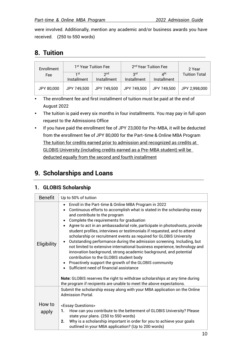were involved. Additionally, mention any academic and/or business awards you have received. (250 to 550 words)

# <span id="page-10-0"></span>**8. Tuition**

| Enrollment |                    | 1 <sup>st</sup> Year Tuition Fee | 2 <sup>nd</sup> Year Tuition Fee |                                               |                      |  | 2 Year |
|------------|--------------------|----------------------------------|----------------------------------|-----------------------------------------------|----------------------|--|--------|
| Fee        | 1st<br>Installment | 2 <sub>nd</sub><br>Installment   | 3 <sup>rd</sup><br>Installment   | $\mathbf{\Lambda}^{\text{th}}$<br>Installment | <b>Tuition Total</b> |  |        |
| JPY 80,000 | JPY 749,500        | JPY 749,500                      | JPY 749,500                      | JPY 749,500                                   | JPY 2,998,000        |  |        |

- The enrollment fee and first installment of tuition must be paid at the end of August 2022
- The tuition is paid every six months in four installments. You may pay in full upon request to the Admissions Office
- If you have paid the enrollment fee of JPY 23,000 for Pre-MBA, it will be deducted from the enrollment fee of JPY 80,000 for the Part-time & Online MBA Program The tuition for credits earned prior to admission and recognized as credits at GLOBIS University (including credits earned as a Pre-MBA student) will be deducted equally from the second and fourth installment

# <span id="page-10-1"></span>**9. Scholarships and Loans**

#### <span id="page-10-2"></span>**1. GLOBIS Scholarship**

| <b>Benefit</b> | Up to 50% of tuition                                                                                                                                                                                                                                                                                                                                                                                                                                                                                                                                                                                                                                                                                                                                                                                                                                                                                                                                                                                               |
|----------------|--------------------------------------------------------------------------------------------------------------------------------------------------------------------------------------------------------------------------------------------------------------------------------------------------------------------------------------------------------------------------------------------------------------------------------------------------------------------------------------------------------------------------------------------------------------------------------------------------------------------------------------------------------------------------------------------------------------------------------------------------------------------------------------------------------------------------------------------------------------------------------------------------------------------------------------------------------------------------------------------------------------------|
| Eligibility    | Enroll in the Part-time & Online MBA Program in 2022<br>Continuous efforts to accomplish what is stated in the scholarship essay<br>and contribute to the program<br>Complete the requirements for graduation<br>Agree to act in an ambassadorial role, participate in photoshoots, provide<br>student profiles, interviews or testimonials if requested, and to attend<br>scholarship or recruitment events as required for GLOBIS University<br>Outstanding performance during the admission screening. Including, but<br>$\bullet$<br>not limited to extensive international business experience, technology and<br>innovation background, strong academic background, and potential<br>contribution to the GLOBIS student body<br>Proactively support the growth of the GLOBIS community<br>$\bullet$<br>Sufficient need of financial assistance<br><b>Note:</b> GLOBIS reserves the right to withdraw scholarships at any time during<br>the program if recipients are unable to meet the above expectations. |
|                | Submit the scholarship essay along with your MBA application on the Online<br><b>Admission Portal.</b>                                                                                                                                                                                                                                                                                                                                                                                                                                                                                                                                                                                                                                                                                                                                                                                                                                                                                                             |
| How to         | <essay questions=""></essay>                                                                                                                                                                                                                                                                                                                                                                                                                                                                                                                                                                                                                                                                                                                                                                                                                                                                                                                                                                                       |
| apply          | How can you contribute to the betterment of GLOBIS University? Please<br>1.<br>state your plans. (250 to 550 words)                                                                                                                                                                                                                                                                                                                                                                                                                                                                                                                                                                                                                                                                                                                                                                                                                                                                                                |
|                | Why is a scholarship important in order for you to achieve your goals<br>2.<br>outlined in your MBA application? (Up to 200 words)                                                                                                                                                                                                                                                                                                                                                                                                                                                                                                                                                                                                                                                                                                                                                                                                                                                                                 |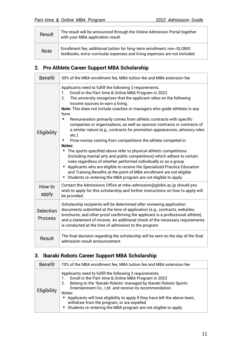| Result      | The result will be announced through the Online Admission Portal together<br>with your MBA application result.                                       |
|-------------|------------------------------------------------------------------------------------------------------------------------------------------------------|
| <b>Note</b> | Enrollment fee, additional tuition for long-term enrollment, non-GLOBIS<br>textbooks, extra-curricular expenses and living expenses are not included |

#### <span id="page-11-0"></span>**2. Pro Athlete Career Support MBA Scholarship**

| <b>Benefit</b>              | 30% of the MBA enrollment fee, MBA tuition fee and MBA extension fee                                                                                                                                                                                                                                                                                                                                                                                                                                                                                                                                                                                                                                                                                                                                                                                                                                                                                                                                                                                                                                                           |
|-----------------------------|--------------------------------------------------------------------------------------------------------------------------------------------------------------------------------------------------------------------------------------------------------------------------------------------------------------------------------------------------------------------------------------------------------------------------------------------------------------------------------------------------------------------------------------------------------------------------------------------------------------------------------------------------------------------------------------------------------------------------------------------------------------------------------------------------------------------------------------------------------------------------------------------------------------------------------------------------------------------------------------------------------------------------------------------------------------------------------------------------------------------------------|
| Eligibility                 | Applicants need to fulfill the following 2 requirements.<br>Enroll in the Part-time & Online MBA Program in 2022<br>1.<br>The university recognizes that the applicant relies on the following<br>2.<br>income sources to earn a living.<br>Note: This does not include coaches or managers who quide athletes in any<br>form<br>Remuneration primarily comes from athletic contracts with specific<br>companies or organizations, as well as sponsor contracts or contracts of<br>a similar nature (e.g., contracts for promotion appearances, advisory roles<br>$etc.$ )<br>Prize money coming from competitions the athlete competed in<br>$\bullet$<br>Notes:<br>• The sports specified above refer to physical athletic competitions<br>(including martial arts and public competitions) which adhere to certain<br>rules regardless of whether performed individually or as a group<br>Applicants who are eligible to receive the Specialized Practice Education<br>$\bullet$<br>and Training Benefits at the point of MBA enrollment are not eligible<br>Students re-entering the MBA program are not eligible to apply |
| How to<br>apply             | Contact the Admissions Office at mba-admission@globis.ac.jp should you<br>wish to apply for this scholarship and further instructions on how to apply will<br>be provided.                                                                                                                                                                                                                                                                                                                                                                                                                                                                                                                                                                                                                                                                                                                                                                                                                                                                                                                                                     |
| Selection<br><b>Process</b> | Scholarship recipients will be determined after reviewing application<br>documents submitted at the time of application (e.g., contracts, websites,<br>brochures, and other proof confirming the applicant is a professional athlete),<br>and a statement of income. An additional check of the necessary requirements<br>is conducted at the time of admission to the program.                                                                                                                                                                                                                                                                                                                                                                                                                                                                                                                                                                                                                                                                                                                                                |
| Result                      | The final decision regarding the scholarship will be sent on the day of the final<br>admission result announcement.                                                                                                                                                                                                                                                                                                                                                                                                                                                                                                                                                                                                                                                                                                                                                                                                                                                                                                                                                                                                            |

#### <span id="page-11-1"></span>**3. Ibaraki Robots Career Support MBA Scholarship**

| <b>Benefit</b>     | 70% of the MBA enrollment fee, MBA tuition fee and MBA extension fee                                                                                                                                                                                                                                                                                                                                                                                                        |
|--------------------|-----------------------------------------------------------------------------------------------------------------------------------------------------------------------------------------------------------------------------------------------------------------------------------------------------------------------------------------------------------------------------------------------------------------------------------------------------------------------------|
| <b>Eligibility</b> | Applicants need to fulfill the following 2 requirements.<br>Enroll in the Part-time & Online MBA Program in 2022<br>Belong to the 'Ibaraki Robots' managed by Ibaraki Robots Sports<br>2.<br>Entertainment Co., Ltd. and receive its recommendation<br>Notes:<br>Applicants will lose eligibility to apply if they have left the above team,<br>$\bullet$<br>withdraw from the program, or are expelled<br>• Students re-entering the MBA program are not eligible to apply |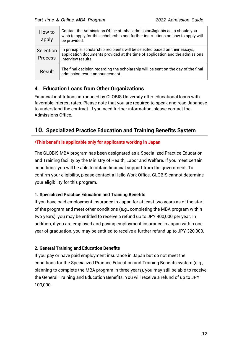| How to<br>apply             | Contact the Admissions Office at mba-admission@globis.ac.jp should you<br>wish to apply for this scholarship and further instructions on how to apply will<br>be provided.         |
|-----------------------------|------------------------------------------------------------------------------------------------------------------------------------------------------------------------------------|
| Selection<br><b>Process</b> | In principle, scholarship recipients will be selected based on their essays,<br>application documents provided at the time of application and the admissions<br>interview results. |
| Result                      | The final decision regarding the scholarship will be sent on the day of the final<br>admission result announcement.                                                                |

#### <span id="page-12-0"></span>**4. Education Loans from Other Organizations**

Financial institutions introduced by GLOBIS University offer educational loans with favorable interest rates. Please note that you are required to speak and read Japanese to understand the contract. If you need further information, please contact the Admissions Office.

#### <span id="page-12-1"></span>**10. Specialized Practice Education and Training Benefits System**

#### **\*This benefit is applicable only for applicants working in Japan**

The GLOBIS MBA program has been designated as a Specialized Practice Education and Training facility by the Ministry of Health, Labor and Welfare. If you meet certain conditions, you will be able to obtain financial support from the government. To confirm your eligibility, please contact a Hello Work Office. GLOBIS cannot determine your eligibility for this program.

#### **1. Specialized Practice Education and Training Benefits**

If you have paid employment insurance in Japan for at least two years as of the start of the program and meet other conditions (e.g., completing the MBA program within two years), you may be entitled to receive a refund up to JPY 400,000 per year. In addition, if you are employed and paying employment insurance in Japan within one year of graduation, you may be entitled to receive a further refund up to JPY 320,000.

#### **2. General Training and Education Benefits**

If you pay or have paid employment insurance in Japan but do not meet the conditions for the Specialized Practice Education and Training Benefits system (e.g., planning to complete the MBA program in three years), you may still be able to receive the General Training and Education Benefits. You will receive a refund of up to JPY 100,000.